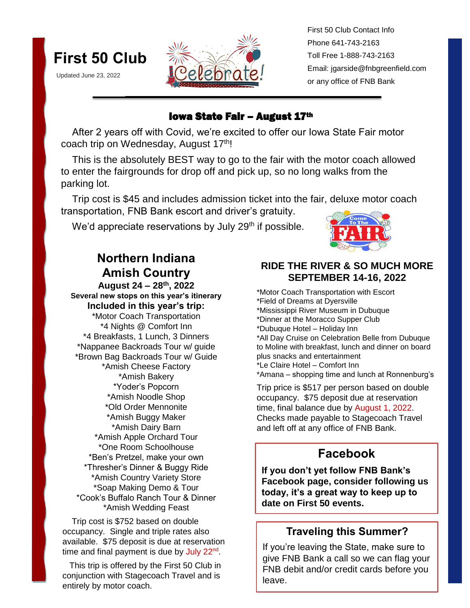

Updated June 23, 2022



First 50 Club Contact Info Phone 641-743-2163 Toll Free 1-888-743-2163 Email: jgarside@fnbgreenfield.com or any office of FNB Bank

#### **Iowa State Fair – August 17th**

 After 2 years off with Covid, we're excited to offer our Iowa State Fair motor coach trip on Wednesday, August 17<sup>th</sup>!

 This is the absolutely BEST way to go to the fair with the motor coach allowed to enter the fairgrounds for drop off and pick up, so no long walks from the parking lot.

 Trip cost is \$45 and includes admission ticket into the fair, deluxe motor coach transportation, FNB Bank escort and driver's gratuity.

We'd appreciate reservations by July  $29<sup>th</sup>$  if possible.



## **Northern Indiana Amish Country**

**August 24 – 28th, 2022 Several new stops on this year's itinerary Included in this year's trip:**  \*Motor Coach Transportation \*4 Nights @ Comfort Inn \*4 Breakfasts, 1 Lunch, 3 Dinners \*Nappanee Backroads Tour w/ guide \*Brown Bag Backroads Tour w/ Guide \*Amish Cheese Factory \*Amish Bakery \*Yoder's Popcorn \*Amish Noodle Shop \*Old Order Mennonite \*Amish Buggy Maker \*Amish Dairy Barn \*Amish Apple Orchard Tour \*One Room Schoolhouse \*Ben's Pretzel, make your own \*Thresher's Dinner & Buggy Ride \*Amish Country Variety Store \*Soap Making Demo & Tour \*Cook's Buffalo Ranch Tour & Dinner \*Amish Wedding Feast

 Trip cost is \$752 based on double occupancy. Single and triple rates also available. \$75 deposit is due at reservation time and final payment is due by July 22<sup>nd</sup>.

 This trip is offered by the First 50 Club in conjunction with Stagecoach Travel and is entirely by motor coach.

### **RIDE THE RIVER & SO MUCH MORE SEPTEMBER 14-16, 2022**

\*Motor Coach Transportation with Escort \*Field of Dreams at Dyersville \*Mississippi River Museum in Dubuque \*Dinner at the Moracco Supper Club \*Dubuque Hotel – Holiday Inn \*All Day Cruise on Celebration Belle from Dubuque to Moline with breakfast, lunch and dinner on board plus snacks and entertainment \*Le Claire Hotel – Comfort Inn \*Amana – shopping time and lunch at Ronnenburg's

Trip price is \$517 per person based on double occupancy. \$75 deposit due at reservation time, final balance due by August 1, 2022. Checks made payable to Stagecoach Travel and left off at any office of FNB Bank.

## **Facebook**

**If you don't yet follow FNB Bank's Facebook page, consider following us today, it's a great way to keep up to date on First 50 events.**

## **Traveling this Summer?**

If you're leaving the State, make sure to give FNB Bank a call so we can flag your FNB debit and/or credit cards before you leave.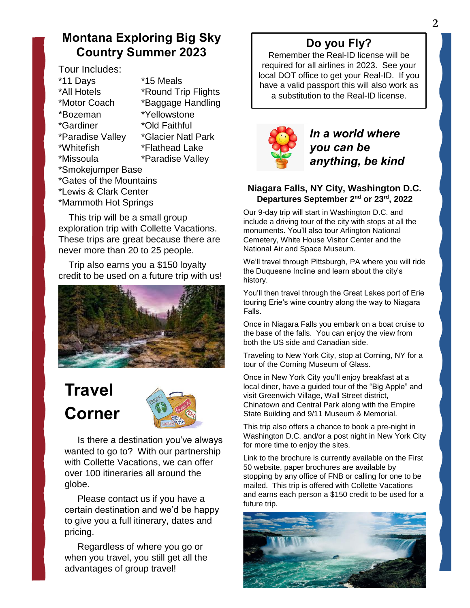## **Montana Exploring Big Sky Country Summer 2023**

Tour Includes: \*11 Days \*15 Meals \*All Hotels \*Round Trip Flights \*Motor Coach \*Baggage Handling \*Bozeman \*Yellowstone \*Gardiner \*Old Faithful \*Paradise Valley \*Glacier Natl Park \*Whitefish \*Flathead Lake \*Missoula \*Paradise Valley \*Smokejumper Base \*Gates of the Mountains \*Lewis & Clark Center \*Mammoth Hot Springs

 This trip will be a small group exploration trip with Collette Vacations. These trips are great because there are never more than 20 to 25 people.

 Trip also earns you a \$150 loyalty credit to be used on a future trip with us!



# **Travel Corner**



 Is there a destination you've always wanted to go to? With our partnership with Collette Vacations, we can offer over 100 itineraries all around the globe.

 Please contact us if you have a certain destination and we'd be happy to give you a full itinerary, dates and pricing.

 Regardless of where you go or when you travel, you still get all the advantages of group travel!

## **Do you Fly?**

Remember the Real-ID license will be required for all airlines in 2023. See your local DOT office to get your Real-ID. If you have a valid passport this will also work as a substitution to the Real-ID license.



*In a world where you can be anything, be kind*

#### **Niagara Falls, NY City, Washington D.C. Departures September 2nd or 23rd, 2022**

Our 9-day trip will start in Washington D.C. and include a driving tour of the city with stops at all the monuments. You'll also tour Arlington National Cemetery, White House Visitor Center and the National Air and Space Museum.

We'll travel through Pittsburgh, PA where you will ride the Duquesne Incline and learn about the city's history.

You'll then travel through the Great Lakes port of Erie touring Erie's wine country along the way to Niagara Falls.

Once in Niagara Falls you embark on a boat cruise to the base of the falls. You can enjoy the view from both the US side and Canadian side.

Traveling to New York City, stop at Corning, NY for a tour of the Corning Museum of Glass.

Once in New York City you'll enjoy breakfast at a local diner, have a guided tour of the "Big Apple" and visit Greenwich Village, Wall Street district, Chinatown and Central Park along with the Empire State Building and 9/11 Museum & Memorial.

This trip also offers a chance to book a pre-night in Washington D.C. and/or a post night in New York City for more time to enjoy the sites.

Link to the brochure is currently available on the First 50 website, paper brochures are available by stopping by any office of FNB or calling for one to be mailed. This trip is offered with Collette Vacations and earns each person a \$150 credit to be used for a future trip.

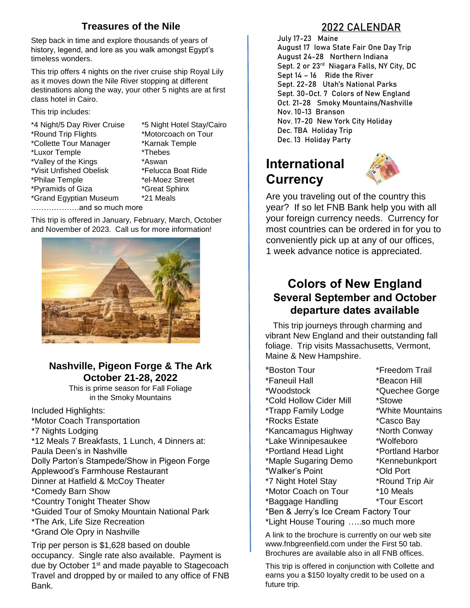### **Treasures of the Nile**

Step back in time and explore thousands of years of history, legend, and lore as you walk amongst Egypt's timeless wonders.

This trip offers 4 nights on the river cruise ship Royal Lily as it moves down the Nile River stopping at different destinations along the way, your other 5 nights are at first class hotel in Cairo.

This trip includes:

\*4 Night/5 Day River Cruise \*5 Night Hotel Stay/Cairo \*Round Trip Flights \*Motorcoach on Tour \*Collette Tour Manager \*Karnak Temple \*Luxor Temple \*Thebes \*Valley of the Kings \*Aswan \*Visit Unfished Obelisk \*Felucca Boat Ride \*Philae Temple \*el-Moez Street \*Pyramids of Giza \*Great Sphinx \*Grand Egyptian Museum \*21 Meals ……………….and so much more

 This trip is offered in January, February, March, October and November of 2023. Call us for more information!



### **Nashville, Pigeon Forge & The Ark October 21-28, 2022**

This is prime season for Fall Foliage in the Smoky Mountains

Included Highlights: \*Motor Coach Transportation \*7 Nights Lodging \*12 Meals 7 Breakfasts, 1 Lunch, 4 Dinners at: Paula Deen's in Nashville Dolly Parton's Stampede/Show in Pigeon Forge Applewood's Farmhouse Restaurant Dinner at Hatfield & McCoy Theater \*Comedy Barn Show \*Country Tonight Theater Show \*Guided Tour of Smoky Mountain National Park \*The Ark, Life Size Recreation \*Grand Ole Opry in Nashville

Trip per person is \$1,628 based on double occupancy. Single rate also available. Payment is due by October 1<sup>st</sup> and made payable to Stagecoach Travel and dropped by or mailed to any office of FNB Bank.

### **2022 CALENDAR**

**July 17-23 Maine August 17 Iowa State Fair One Day Trip August 24-28 Northern Indiana Sept. 2 or 23rd Niagara Falls, NY City, DC Sept 14 – 16 Ride the River Sept. 22-28 Utah's National Parks Sept. 30-Oct. 7 Colors of New England Oct. 21-28 Smoky Mountains/Nashville Nov. 10-13 Branson Nov. 17-20 New York City Holiday Dec. TBA Holiday Trip Dec. 13 Holiday Party**

## **International Currency**



Are you traveling out of the country this year? If so let FNB Bank help you with all your foreign currency needs. Currency for most countries can be ordered in for you to conveniently pick up at any of our offices, 1 week advance notice is appreciated.

### **Colors of New England Several September and October departure dates available**

 This trip journeys through charming and vibrant New England and their outstanding fall foliage. Trip visits Massachusetts, Vermont, Maine & New Hampshire.

\*Boston Tour \*Freedom Trail \*Faneuil Hall \*Beacon Hill \*Woodstock \*Quechee Gorge \*Cold Hollow Cider Mill \*Stowe \*Trapp Family Lodge \*White Mountains \*Rocks Estate \*Casco Bay \*Kancamagus Highway \*North Conway \*Lake Winnipesaukee \*Wolfeboro \*Portland Head Light \*Portland Harbor \*Maple Sugaring Demo \*Kennebunkport \*Walker's Point \*Old Port \*7 Night Hotel Stay \*Round Trip Air \*Motor Coach on Tour \*10 Meals \*Baggage Handling \*Tour Escort

- 
- 
- \*Ben & Jerry's Ice Cream Factory Tour
- \*Light House Touring …..so much more

A link to the brochure is currently on our web site www.fnbgreenfield.com under the First 50 tab. Brochures are available also in all FNB offices.

This trip is offered in conjunction with Collette and earns you a \$150 loyalty credit to be used on a future trip.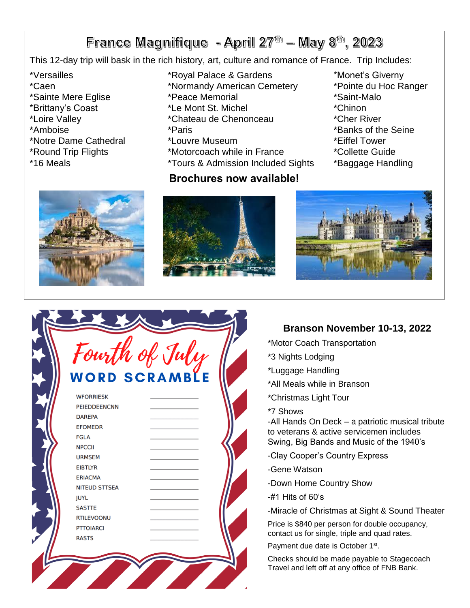## France Magnifique - April  $27<sup>th</sup>$  – May 8<sup>th</sup>, 2023

This 12-day trip will bask in the rich history, art, culture and romance of France. Trip Includes:

- 
- 
- \*Sainte Mere Eglise
- \*Brittany's Coast
- 
- 
- \*Notre Dame Cathedral
- 
- 
- **New York City Holiday November 17-20th, 2022** \*Versailles \*Royal Palace & Gardens \*Monet's Giverny
- There is nothing like New York City at Christmas \*Caen \*Normandy American Cemetery
	-
	- \*Le Mont St. Michel **the sounder to the tour.** \*Chinon
- $\frac{1}{2}$ \*Broadway Show \*6 Meals \*Loire Valley \*Chateau de Chenonceau \*Cher River
	-
	- $\mathsf{H}^{\mathsf{S}}$  is a contract to  $\mathsf{H}^{\mathsf{S}}$  . Excording to  $\mathsf{H}^{\mathsf{S}}$
- \*Statue of Liberty \*9/11 Memorial \*Round Trip Flights \*\*Motorcoach while in France \*\*\*\*\*\*\*\*\*\*\*\*\*\*\*\*\*\*\*\*\*\*\*\*\*\*\*\*\*\*\*
- \*16 Meals **\***Tours & Admission Included Sights \*Baggage Handling

#### while the Motorcoach Transportation while the Touring term in the Touring term in the Touring term in the Tour<br>Section while Touring the Touring term in the Touring term in the Touring term in the Touring term in the Tour **Brochures now available!**

- 
- 
- 
- 
- 
- \*Amboise \*Paris \*Banks of the Seine
	-
	-
	-







## **Branson November 10-13, 2022**

- \*Motor Coach Transportation
- \*3 Nights Lodging
- \*Luggage Handling
- \*All Meals while in Branson
- \*Christmas Light Tour
- \*7 Shows

-All Hands On Deck – a patriotic musical tribute to veterans & active servicemen includes Swing, Big Bands and Music of the 1940's

- -Clay Cooper's Country Express
- -Gene Watson
- -Down Home Country Show
- -#1 Hits of 60's
- -Miracle of Christmas at Sight & Sound Theater

Price is \$840 per person for double occupancy, contact us for single, triple and quad rates.

Payment due date is October 1<sup>st</sup>.

Checks should be made payable to Stagecoach Travel and left off at any office of FNB Bank.

| WORD SCRAMBLE        |  |
|----------------------|--|
| <b>WFORRIESK</b>     |  |
| <b>PEIEDDEENCNN</b>  |  |
| <b>DAREPA</b>        |  |
| <b>EFOMEDR</b>       |  |
| <b>FGLA</b>          |  |
| <b>NPCCII</b>        |  |
| <b>URMSEM</b>        |  |
| <b>EIBTLYR</b>       |  |
| <b>ERIACMA</b>       |  |
| <b>NITEUD STTSEA</b> |  |
| <b>JUYL</b>          |  |
| <b>SASTTE</b>        |  |
| <b>RTILEVOONU</b>    |  |
| <b>PTTOIARCI</b>     |  |
| <b>RASTS</b>         |  |
|                      |  |